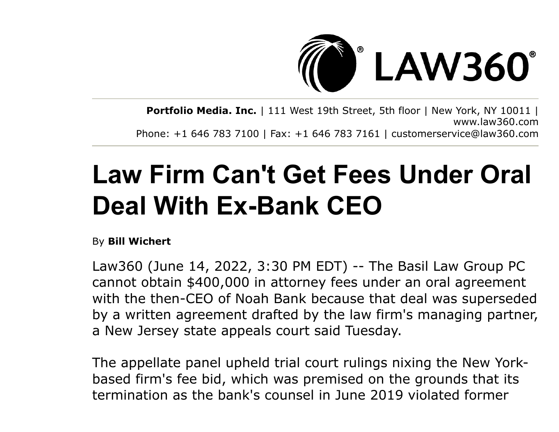

**Portfolio Media. Inc.** | 111 West 19th Street, 5th floor | New York, NY 10011 | www.law360.com Phone: +1 646 783 7100 | Fax: +1 646 783 7161 | customerservice@law360.com

## **Law Firm Can't Get Fees Under Oral Deal With Ex-Bank CEO**

By **Bill Wichert**

Law360 (June 14, 2022, 3:30 PM EDT) -- The Basil Law Group PC cannot obtain \$400,000 in attorney fees under an oral agreement with the then-CEO of Noah Bank because that deal was superseded by a written agreement drafted by the law firm's managing partner, a New Jersey state appeals court said Tuesday.

The appellate panel upheld trial court rulings nixing the New Yorkbased firm's fee bid, which was premised on the grounds that its termination as the bank's counsel in June 2019 violated former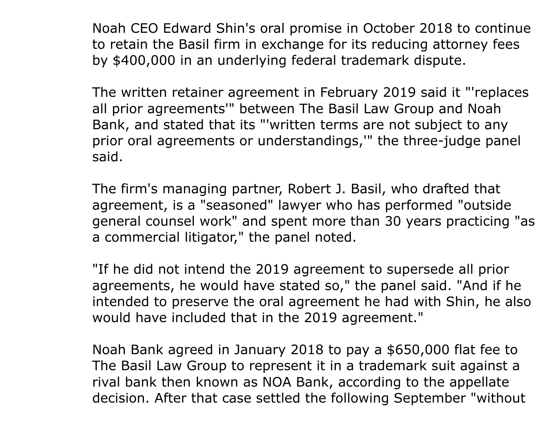Noah CEO Edward Shin's oral promise in October 2018 to continue to retain the Basil firm in exchange for its reducing attorney fees by \$400,000 in an underlying federal trademark dispute.

The written retainer agreement in February 2019 said it "'replaces all prior agreements'" between The Basil Law Group and Noah Bank, and stated that its "'written terms are not subject to any prior oral agreements or understandings,'" the three-judge panel said.

The firm's managing partner, Robert J. Basil, who drafted that agreement, is a "seasoned" lawyer who has performed "outside general counsel work" and spent more than 30 years practicing "as a commercial litigator," the panel noted.

"If he did not intend the 2019 agreement to supersede all prior agreements, he would have stated so," the panel said. "And if he intended to preserve the oral agreement he had with Shin, he also would have included that in the 2019 agreement."

Noah Bank agreed in January 2018 to pay a \$650,000 flat fee to The Basil Law Group to represent it in a trademark suit against a rival bank then known as NOA Bank, according to the appellate decision. After that case settled the following September "without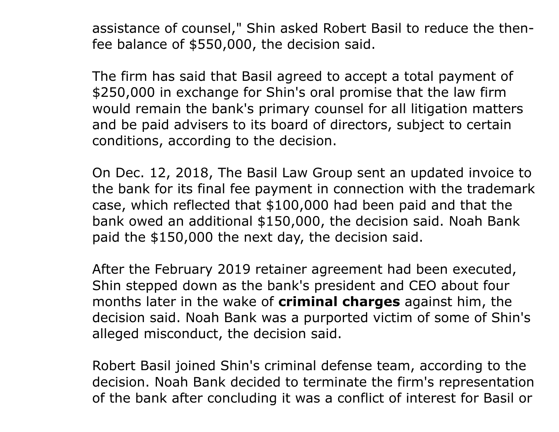assistance of counsel," Shin asked Robert Basil to reduce the thenfee balance of \$550,000, the decision said.

The firm has said that Basil agreed to accept a total payment of \$250,000 in exchange for Shin's oral promise that the law firm would remain the bank's primary counsel for all litigation matters and be paid advisers to its board of directors, subject to certain conditions, according to the decision.

On Dec. 12, 2018, The Basil Law Group sent an updated invoice to the bank for its final fee payment in connection with the trademark case, which reflected that \$100,000 had been paid and that the bank owed an additional \$150,000, the decision said. Noah Bank paid the \$150,000 the next day, the decision said.

After the February 2019 retainer agreement had been executed, Shin stepped down as the bank's president and CEO about four months later in the wake of **[criminal charges](https://www.law360.com/articles/1163877/pa-bank-ceo-charged-in-small-business-loan-kickback-ploy)** against him, the decision said. Noah Bank was a purported victim of some of Shin's alleged misconduct, the decision said.

Robert Basil joined Shin's criminal defense team, according to the decision. Noah Bank decided to terminate the firm's representation of the bank after concluding it was a conflict of interest for Basil or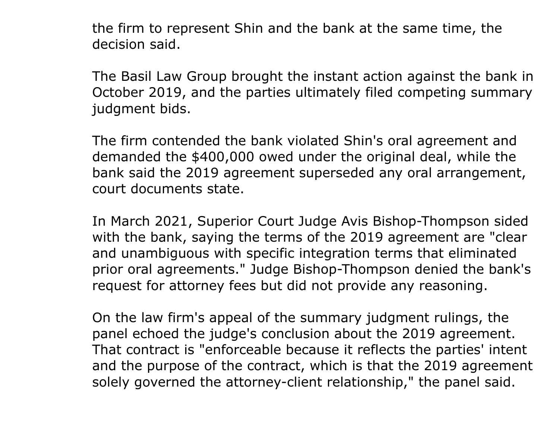the firm to represent Shin and the bank at the same time, the decision said.

The Basil Law Group brought the instant action against the bank in October 2019, and the parties ultimately filed competing summary judgment bids.

The firm contended the bank violated Shin's oral agreement and demanded the \$400,000 owed under the original deal, while the bank said the 2019 agreement superseded any oral arrangement, court documents state.

In March 2021, Superior Court Judge Avis Bishop-Thompson sided with the bank, saying the terms of the 2019 agreement are "clear and unambiguous with specific integration terms that eliminated prior oral agreements." Judge Bishop-Thompson denied the bank's request for attorney fees but did not provide any reasoning.

On the law firm's appeal of the summary judgment rulings, the panel echoed the judge's conclusion about the 2019 agreement. That contract is "enforceable because it reflects the parties' intent and the purpose of the contract, which is that the 2019 agreement solely governed the attorney-client relationship," the panel said.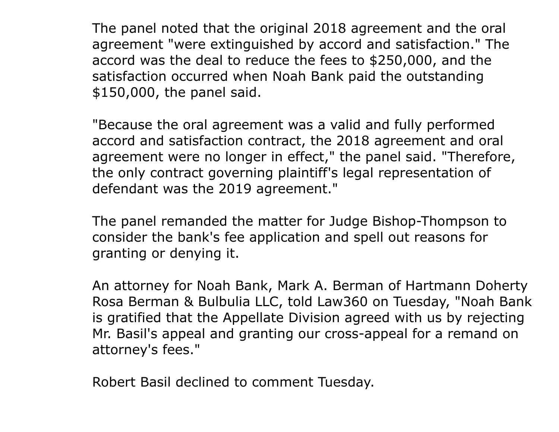The panel noted that the original 2018 agreement and the oral agreement "were extinguished by accord and satisfaction." The accord was the deal to reduce the fees to \$250,000, and the satisfaction occurred when Noah Bank paid the outstanding \$150,000, the panel said.

"Because the oral agreement was a valid and fully performed accord and satisfaction contract, the 2018 agreement and oral agreement were no longer in effect," the panel said. "Therefore, the only contract governing plaintiff's legal representation of defendant was the 2019 agreement."

The panel remanded the matter for Judge Bishop-Thompson to consider the bank's fee application and spell out reasons for granting or denying it.

[An attorney for Noah Bank, Mark A. Berman of Hartmann Doherty](https://www.law360.com/firms/hartmann-doherty) Rosa Berman & Bulbulia LLC, told Law360 on Tuesday, "Noah Bank is gratified that the Appellate Division agreed with us by rejecting Mr. Basil's appeal and granting our cross-appeal for a remand on attorney's fees."

Robert Basil declined to comment Tuesday.